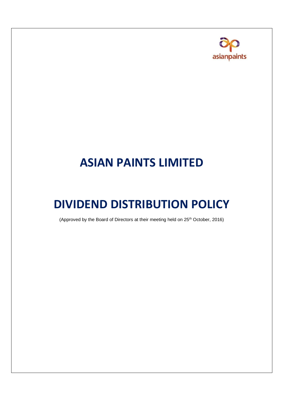

# **ASIAN PAINTS LIMITED**

## **DIVIDEND DISTRIBUTION POLICY**

(Approved by the Board of Directors at their meeting held on 25<sup>th</sup> October, 2016)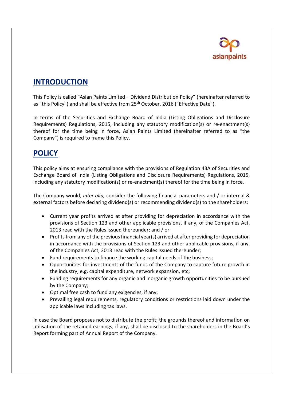

### **INTRODUCTION**

This Policy is called "Asian Paints Limited – Dividend Distribution Policy" (hereinafter referred to as "this Policy") and shall be effective from 25<sup>th</sup> October, 2016 ("Effective Date").

In terms of the Securities and Exchange Board of India (Listing Obligations and Disclosure Requirements) Regulations, 2015, including any statutory modification(s) or re-enactment(s) thereof for the time being in force, Asian Paints Limited (hereinafter referred to as "the Company") is required to frame this Policy.

#### **POLICY**

This policy aims at ensuring compliance with the provisions of Regulation 43A of Securities and Exchange Board of India (Listing Obligations and Disclosure Requirements) Regulations, 2015, including any statutory modification(s) or re-enactment(s) thereof for the time being in force.

The Company would, *inter alia,* consider the following financial parameters and / or internal & external factors before declaring dividend(s) or recommending dividend(s) to the shareholders:

- Current year profits arrived at after providing for depreciation in accordance with the provisions of Section 123 and other applicable provisions, if any, of the Companies Act, 2013 read with the Rules issued thereunder; and / or
- Profits from any of the previous financial year(s) arrived at after providing for depreciation in accordance with the provisions of Section 123 and other applicable provisions, if any, of the Companies Act, 2013 read with the Rules issued thereunder;
- Fund requirements to finance the working capital needs of the business;
- Opportunities for investments of the funds of the Company to capture future growth in the industry, e.g. capital expenditure, network expansion, etc;
- Funding requirements for any organic and inorganic growth opportunities to be pursued by the Company;
- Optimal free cash to fund any exigencies, if any;
- Prevailing legal requirements, regulatory conditions or restrictions laid down under the applicable laws including tax laws.

In case the Board proposes not to distribute the profit; the grounds thereof and information on utilisation of the retained earnings, if any, shall be disclosed to the shareholders in the Board's Report forming part of Annual Report of the Company.